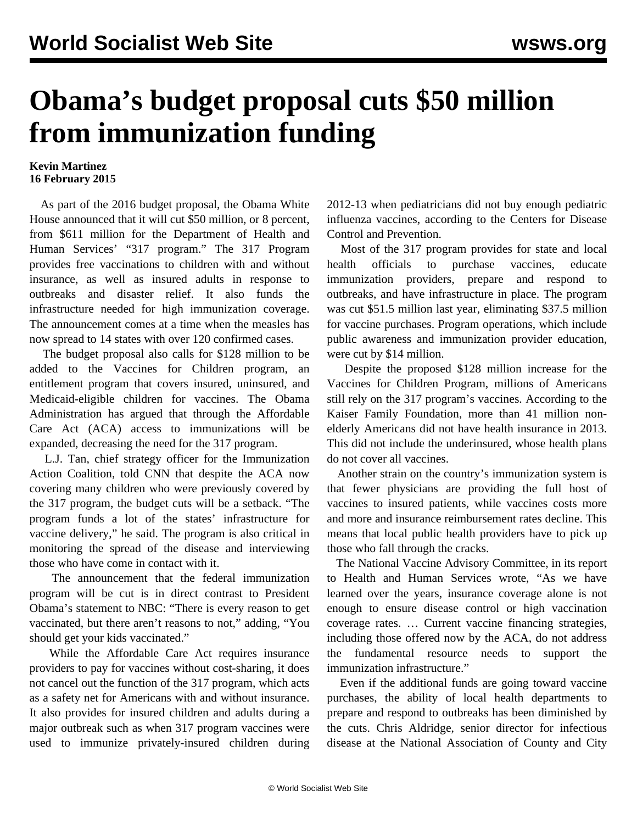## **Obama's budget proposal cuts \$50 million from immunization funding**

## **Kevin Martinez 16 February 2015**

 As part of the 2016 budget proposal, the Obama White House announced that it will cut \$50 million, or 8 percent, from \$611 million for the Department of Health and Human Services' "317 program." The 317 Program provides free vaccinations to children with and without insurance, as well as insured adults in response to outbreaks and disaster relief. It also funds the infrastructure needed for high immunization coverage. The announcement comes at a time when the measles has now spread to 14 states with over 120 confirmed cases.

 The budget proposal also calls for \$128 million to be added to the Vaccines for Children program, an entitlement program that covers insured, uninsured, and Medicaid-eligible children for vaccines. The Obama Administration has argued that through the Affordable Care Act (ACA) access to immunizations will be expanded, decreasing the need for the 317 program.

 L.J. Tan, chief strategy officer for the Immunization Action Coalition, told CNN that despite the ACA now covering many children who were previously covered by the 317 program, the budget cuts will be a setback. "The program funds a lot of the states' infrastructure for vaccine delivery," he said. The program is also critical in monitoring the spread of the disease and interviewing those who have come in contact with it.

 The announcement that the federal immunization program will be cut is in direct contrast to President Obama's statement to NBC: "There is every reason to get vaccinated, but there aren't reasons to not," adding, "You should get your kids vaccinated."

 While the Affordable Care Act requires insurance providers to pay for vaccines without cost-sharing, it does not cancel out the function of the 317 program, which acts as a safety net for Americans with and without insurance. It also provides for insured children and adults during a major outbreak such as when 317 program vaccines were used to immunize privately-insured children during

2012-13 when pediatricians did not buy enough pediatric influenza vaccines, according to the Centers for Disease Control and Prevention.

 Most of the 317 program provides for state and local health officials to purchase vaccines, educate immunization providers, prepare and respond to outbreaks, and have infrastructure in place. The program was cut \$51.5 million last year, eliminating \$37.5 million for vaccine purchases. Program operations, which include public awareness and immunization provider education, were cut by \$14 million.

 Despite the proposed \$128 million increase for the Vaccines for Children Program, millions of Americans still rely on the 317 program's vaccines. According to the Kaiser Family Foundation, more than 41 million nonelderly Americans did not have health insurance in 2013. This did not include the underinsured, whose health plans do not cover all vaccines.

 Another strain on the country's immunization system is that fewer physicians are providing the full host of vaccines to insured patients, while vaccines costs more and more and insurance reimbursement rates decline. This means that local public health providers have to pick up those who fall through the cracks.

 The National Vaccine Advisory Committee, in its report to Health and Human Services wrote, "As we have learned over the years, insurance coverage alone is not enough to ensure disease control or high vaccination coverage rates. … Current vaccine financing strategies, including those offered now by the ACA, do not address the fundamental resource needs to support the immunization infrastructure."

 Even if the additional funds are going toward vaccine purchases, the ability of local health departments to prepare and respond to outbreaks has been diminished by the cuts. Chris Aldridge, senior director for infectious disease at the National Association of County and City